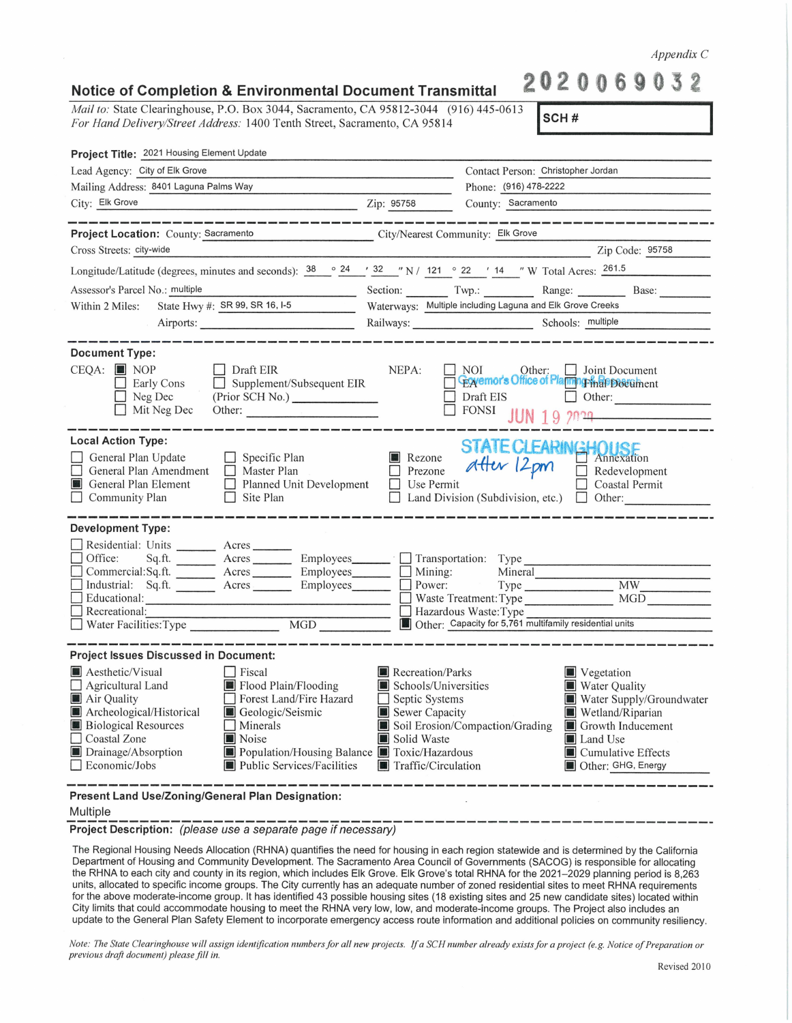*Mail to:* State Clearinghouse, P.O. Box 3044, Sacramento, CA 95812-3044 (916) 445-0613 *For Hand Delivery/Street Address:* 1400 Tenth Street, Sacramento, CA 95814 **SCH# Project Title:** 2021 Housing Element Update Lead Agency: City of Elk Grove Mailing Address: 8401 Laguna Palms Way City: Elk Grove Contact Person: Christopher Jordan Phone: (916) 478-2222 Zip: 95758 County: Sacramento **Project Location:** County: Sacramento City/Nearest Community: \_E\_lk\_G\_r\_o\_ve \_\_\_\_\_\_\_\_\_\_\_\_\_ \_ Cross Streets: city-wide Zip Code: 25758 Longitude/Latitude (degrees, minutes and seconds):  $\frac{38}{24}$   $\frac{9}{24}$   $\frac{22}{32}$   $\frac{11}{21}$   $\frac{9}{22}$   $\frac{22}{14}$   $\frac{11}{2}$  W Total Acres:  $\frac{261.5}{261.5}$ Assessor's Parcel No.: multiple<br>Within 2 Miles: State Hwy #: SR 99, SR 16, I-5 Assessor's Parcel No.: multiple **Exercise 1888**: Multiple Section: Twp.: Twp.: Range: Range: Base: Nultiple including Laguna and Elk Grove Creeks Base: Nultiple including Laguna and Elk Grove Creeks Base: Nultiple includin Airports: \_\_\_\_\_\_\_\_\_\_\_ \_ Railways:\_\_\_\_\_\_\_\_\_ Schools: \_m\_u\_lt\_ip\_le \_\_\_\_\_\_ \_ **Document Type:**  CEQA: **[j]** NOP D Early Cons Neg Dec □ Draft EIR Supplement/Subsequent EIR<br>(Prior SCH No.)  $NEPA: \Box \text{NOT}$  Other:  $\Box$  Joint Document **Externor's Office of Planma Final Postument**  $\Box$  Mit Neg Dec (Prior SCH No.) \_\_\_\_\_ \_ □ Draft EIS □ Other: \_\_\_\_\_ \_ □ F0Ns1 **JUN 19** 7rP~----- Other: ---------- Local Action Type: <br>
□ General Plan Update □ Specific Plan II Rezone *STATE CLEAR*<br>
□ General Plan Amendment Master Plan □ Prezone *Atter* 12 pm **14 DUSE**<br>Annexation<br>
Redevelopment □ General Plan Amendment □ Master Plan □ Prezone Attitude And □ Redevelopment □ General Plan Element □ Planned Unit Development □ Use Permit □ Coastal Permit □ Coastal Permit □ Community Plan □ Site Plan □ Land Division (Subdivision, etc.) □ Other: **Development Type:**  Residential: Units Acres Acres Employees Branch in Type Acres Based of the Sq.ft. D Commercial: Sq.ft. Acres Employees D Transportation: Type Commercial: Sq.ft. Acres Employees D Mining: Mineral Commercial: Sq.ft. D Industrial: Sq.ft. --- Acres Employees\_\_\_ D Power: Type \_\_\_\_\_\_\_ MW \_\_\_\_\_ \_ <sup>D</sup>Educational: \_\_\_\_\_\_\_\_\_\_\_\_\_\_\_\_\_\_ D Waste Treatment:Type MGD \_\_\_\_ \_  $\Box$  Recreational:<br> $\Box$  Recreational: D Water Facilities:Type \_\_\_\_\_\_\_ MGD \_\_\_\_\_\_ <sup>~</sup>Other: Capacity for 5,761 multifamily residential units **Project Issues Discussed in Document: II** Aesthetic/Visual **II** Piscal **III** Recreation/Parks<br> **I** Agricultural Land **II** Flood Plain/Flooding **II** Schools/Universities  $\Box$  Agricultural Land **in i i** Flood Plain/Flooding **in Schools/Universities** Air Ouality <table>\n<tbody>\n<tr>\n<td>□ Forest Land/Fire Hazard</td>\n<td>□ Septic Systems</td>\n</tr>\n<tr>\n<td>□ Geologic/Seismic</td>\n<td>□ Sewer Canacity</td>\n</tr>\n</tbody>\n</table> **E** Archeological/Historical ■ Biological Resources <br> **■** Soil Erosion/Compaction/Grading ■ Growth Inducement ■ Noise **b** Noise **in Solid Waste b** Drainage/Absorption **in Properties in Population/Housing Balance [i]** Toxic/Hazard ■ Drainage/Absorption ■ Population/Housing Balance ■ Toxic/Hazardous<br>
■ Public Services/Facilities ■ Traffic/Circulation **Public Services/Facilities III** Traffic/Circulation **[j]** Vegetation **IWater Quality [j]** Water Supply/Groundwater **[j]** Wetland/Riparian  $\blacksquare$  Land Use **T** Cumulative Effects **[j]** Other: GHG, Energy

**Present Land Use/Zoning/General Plan Designation:** 

## Multiple

-------------------------------------------------------------- **Project Description:** (please use a separate page if necessary)

The Regional Housing Needs Allocation (RHNA) quantifies the need for housing in each region statewide and is determined by the California Department of Housing and Community Development. The Sacramento Area Council of Governments (SACOG) is responsible for allocating the RHNA to each city and county in its region, which includes Elk Grove. Elk Grove's total RHNA for the 2021-2029 planning period is 8,263 units, allocated to specific income groups. The City currently has an adequate number of zoned residential sites to meet RHNA requirements for the above moderate-income group. It has identified 43 possible housing sites (18 existing sites and 25 new candidate sites) located within City limits that could accommodate housing to meet the RHNA very low, low, and moderate-income groups. The Project also includes an update to the General Plan Safety Element to incorporate emergency access route information and additional policies on community resiliency.

*Note: The State Clearinghouse will assign identification numbers for all new projects. If a SCH number already exists for a project (e.g. Notice of Preparation or previous draft document) please fill in.* 

*Appendix* C **202 0 2** 

| Notice of Completion & Environmental Document Transmittal |
|-----------------------------------------------------------|
|                                                           |